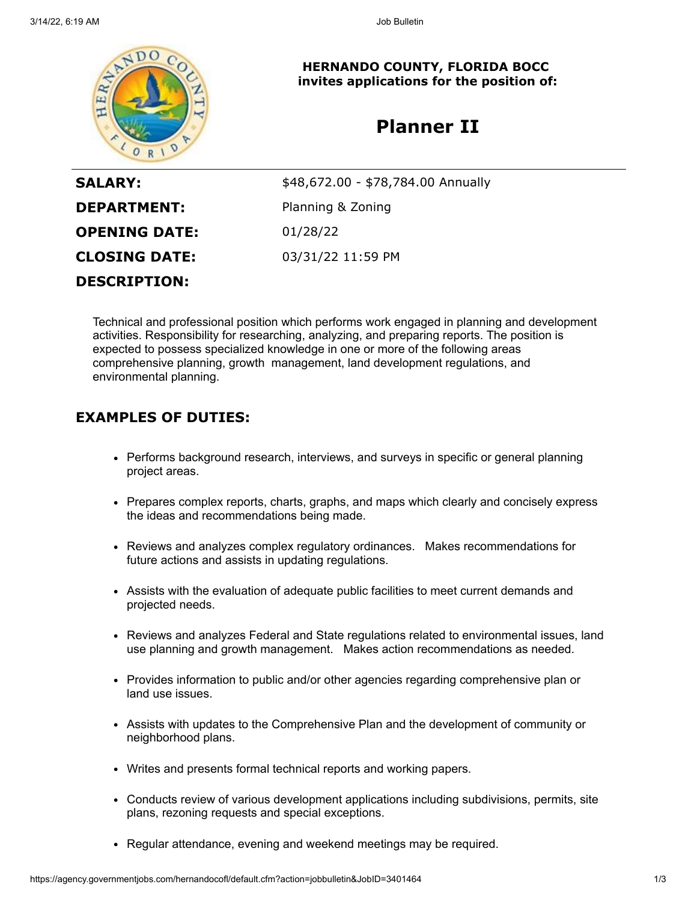

**HERNANDO COUNTY, FLORIDA BOCC invites applications for the position of:**

# **Planner II**

| <b>SALARY:</b>       | \$48,672.00 - \$78,784.00 Annually |
|----------------------|------------------------------------|
| <b>DEPARTMENT:</b>   | Planning & Zoning                  |
| <b>OPENING DATE:</b> | 01/28/22                           |
| <b>CLOSING DATE:</b> | 03/31/22 11:59 PM                  |
| <b>DESCRIPTION:</b>  |                                    |

Technical and professional position which performs work engaged in planning and development activities. Responsibility for researching, analyzing, and preparing reports. The position is expected to possess specialized knowledge in one or more of the following areas comprehensive planning, growth management, land development regulations, and environmental planning.

## **EXAMPLES OF DUTIES:**

- Performs background research, interviews, and surveys in specific or general planning project areas.
- Prepares complex reports, charts, graphs, and maps which clearly and concisely express the ideas and recommendations being made.
- Reviews and analyzes complex regulatory ordinances. Makes recommendations for future actions and assists in updating regulations.
- Assists with the evaluation of adequate public facilities to meet current demands and projected needs.
- Reviews and analyzes Federal and State regulations related to environmental issues, land use planning and growth management. Makes action recommendations as needed.
- Provides information to public and/or other agencies regarding comprehensive plan or land use issues.
- Assists with updates to the Comprehensive Plan and the development of community or neighborhood plans.
- Writes and presents formal technical reports and working papers.
- Conducts review of various development applications including subdivisions, permits, site plans, rezoning requests and special exceptions.
- Regular attendance, evening and weekend meetings may be required.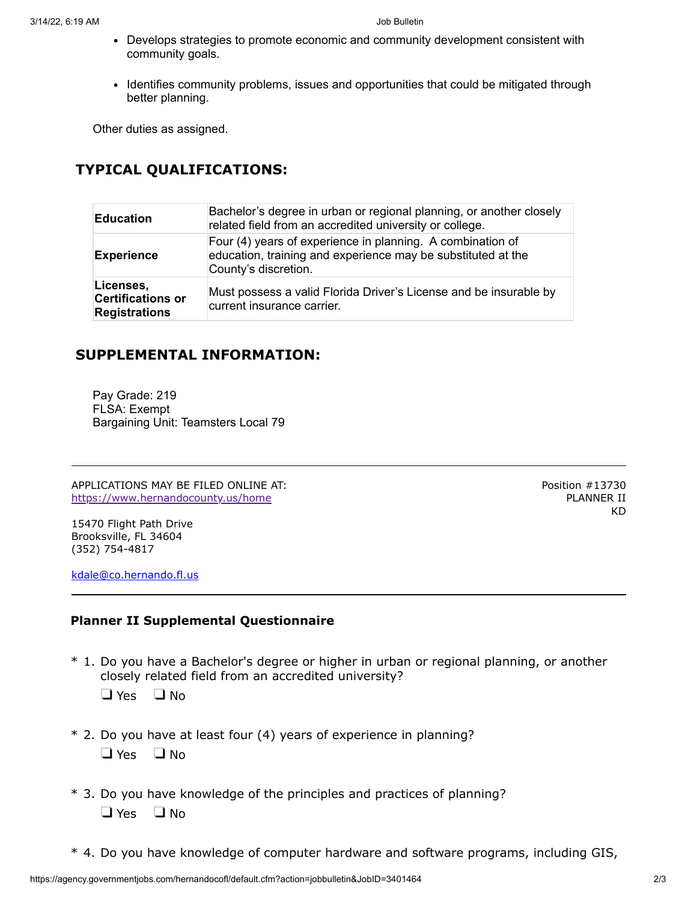- Develops strategies to promote economic and community development consistent with community goals.
- Identifies community problems, issues and opportunities that could be mitigated through better planning.

Other duties as assigned.

# **TYPICAL QUALIFICATIONS:**

| <b>Education</b>                                              | Bachelor's degree in urban or regional planning, or another closely<br>related field from an accredited university or college.                     |
|---------------------------------------------------------------|----------------------------------------------------------------------------------------------------------------------------------------------------|
| <b>Experience</b>                                             | Four (4) years of experience in planning. A combination of<br>education, training and experience may be substituted at the<br>County's discretion. |
| Licenses,<br><b>Certifications or</b><br><b>Registrations</b> | Must possess a valid Florida Driver's License and be insurable by<br>current insurance carrier.                                                    |

### **SUPPLEMENTAL INFORMATION:**

Pay Grade: 219 FLSA: Exempt Bargaining Unit: Teamsters Local 79

APPLICATIONS MAY BE FILED ONLINE AT: <https://www.hernandocounty.us/home>

15470 Flight Path Drive Brooksville, FL 34604 (352) 754-4817

[kdale@co.hernando.fl.us](mailto:kdale@co.hernando.fl.us)

#### **Planner II Supplemental Questionnaire**

\* 1. Do you have a Bachelor's degree or higher in urban or regional planning, or another closely related field from an accredited university?

 $\Box$  Yes  $\Box$  No

- \* 2. Do you have at least four (4) years of experience in planning?  $\Box$  Yes  $\Box$  No
- \* 3. Do you have knowledge of the principles and practices of planning?  $\Box$  Yes  $\Box$  No
- \* 4. Do you have knowledge of computer hardware and software programs, including GIS,

Position #13730 PLANNER II KD